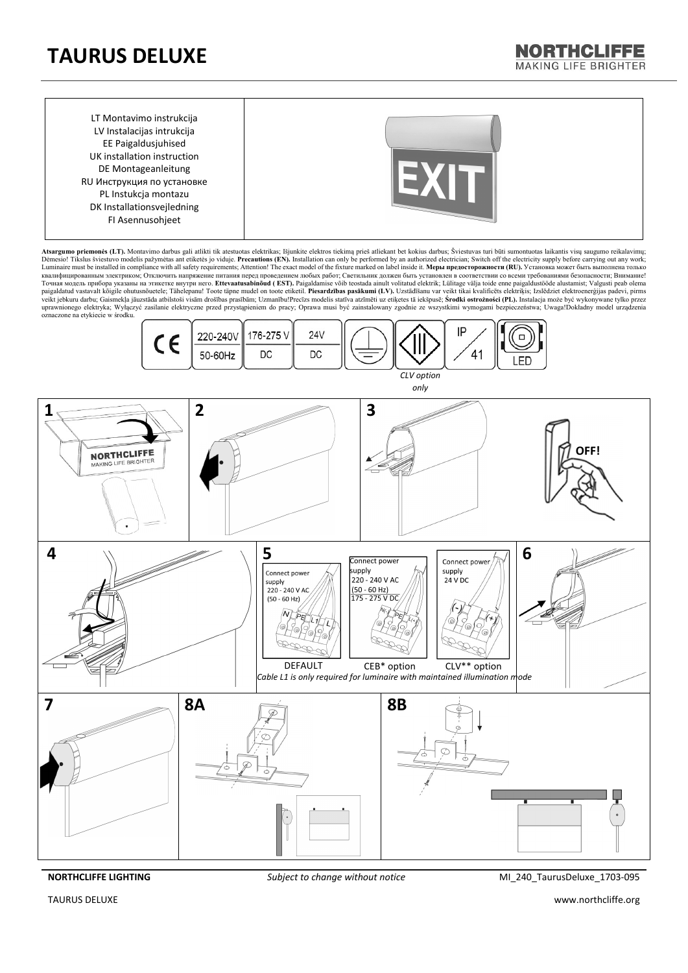## **TAURUS DELUXE**

LT Montavimo instrukcija LV Instalacijas intrukcija EE Paigaldusjuhised UK installation instruction DE Montageanleitung RU Инструкция по установке PL Instukcja montazu DK Installationsvejledning FI Asennusohjeet



**NORTHCLIFFE** MAKING LIFF BRIGHTER

Atsargumo priemonės (LT). Montavimo darbus gali atlikti tik atestuotas elektrikas; Išjunkite elektros tickimą prieš atliekant bet kokius darbus; Sviestuvas turi būti sumontuotas laikantis visų saugumo reikalavimų;<br>Dėmesio Точная модель прибора указаны на этикетке внутри него. **Ettevaatusabinõud ( EST).** Paigaldamise võib teostada ainult volitatud elektrik; Lülitage välja toide enne paigaldustööde alustamist; Valgusti peab olema paigaldatud vastavalt kõigile ohutusnõuetele; Tähelepanu! Toote täpne mudel on toote etiketil. **Piesardzības pasākumi (LV).** Uzstādīšanu var veikt tikai kvalificēts elektriķis; Izslēdziet elektroenerģijas padevi, pirms<br>vei uprawnionego elektryka; Wyłączyć zasilanie elektryczne przed przystąpieniem do pracy; Oprawa musi być zainstalowany zgodnie ze wszystkimi wymogami bezpieczeństwa; Uwaga!Dokładny model urządzenia oznaczone na etykiecie w środku.



**NORTHCLIFFE LIGHTING** *Subject to change without notice* MI\_240\_TaurusDeluxe\_1703-095

TAURUS DELUXE www.northcliffe.org